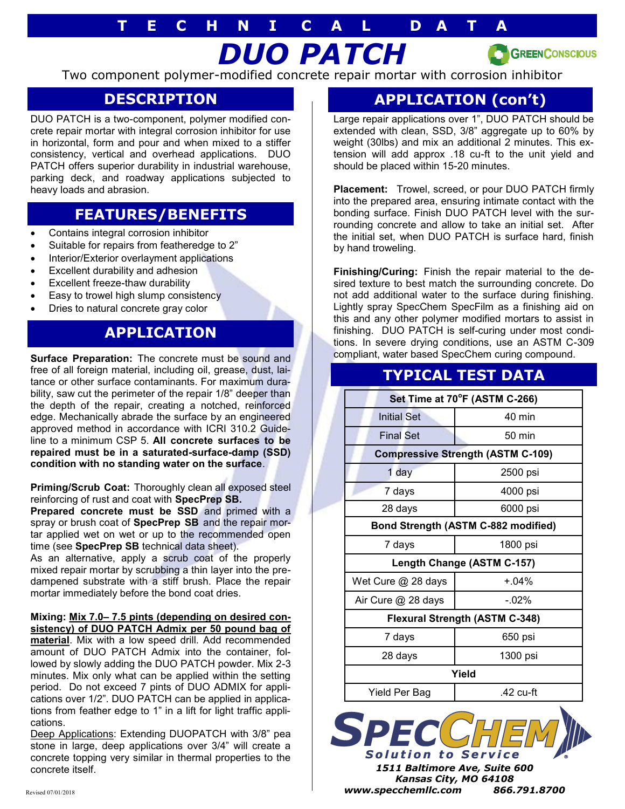# *DUO PATCH* **T E C H N I C A L D A T A**

**GREENCONSCIOUS** 

Two component polymer-modified concrete repair mortar with corrosion inhibitor

### **DESCRIPTION**

DUO PATCH is a two-component, polymer modified concrete repair mortar with integral corrosion inhibitor for use in horizontal, form and pour and when mixed to a stiffer consistency, vertical and overhead applications. DUO PATCH offers superior durability in industrial warehouse, parking deck, and roadway applications subjected to heavy loads and abrasion.

### **FEATURES/BENEFITS**

- Contains integral corrosion inhibitor
- Suitable for repairs from featheredge to 2"
- Interior/Exterior overlayment applications
- Excellent durability and adhesion
- Excellent freeze-thaw durability
- Easy to trowel high slump consistency
- Dries to natural concrete gray color

## **APPLICATION**

**Surface Preparation:** The concrete must be sound and free of all foreign material, including oil, grease, dust, laitance or other surface contaminants. For maximum durability, saw cut the perimeter of the repair 1/8" deeper than the depth of the repair, creating a notched, reinforced edge. Mechanically abrade the surface by an engineered approved method in accordance with ICRI 310.2 Guideline to a minimum CSP 5. **All concrete surfaces to be repaired must be in a saturated-surface-damp (SSD) condition with no standing water on the surface**.

**Priming/Scrub Coat:** Thoroughly clean all exposed steel reinforcing of rust and coat with **SpecPrep SB.** 

**Prepared concrete must be SSD and primed with a** spray or brush coat of **SpecPrep SB** and the repair mortar applied wet on wet or up to the recommended open time (see **SpecPrep SB** technical data sheet).

As an alternative, apply a scrub coat of the properly mixed repair mortar by scrubbing a thin layer into the predampened substrate with a stiff brush. Place the repair mortar immediately before the bond coat dries.

#### **Mixing: Mix 7.0– 7.5 pints (depending on desired consistency) of DUO PATCH Admix per 50 pound bag of**

**material**. Mix with a low speed drill. Add recommended amount of DUO PATCH Admix into the container, followed by slowly adding the DUO PATCH powder. Mix 2-3 minutes. Mix only what can be applied within the setting period. Do not exceed 7 pints of DUO ADMIX for applications over 1/2". DUO PATCH can be applied in applications from feather edge to 1" in a lift for light traffic applications.

Deep Applications: Extending DUOPATCH with 3/8" pea stone in large, deep applications over 3/4" will create a concrete topping very similar in thermal properties to the concrete itself.

# **APPLICATION (con't)**

Large repair applications over 1", DUO PATCH should be extended with clean, SSD, 3/8" aggregate up to 60% by weight (30lbs) and mix an additional 2 minutes. This extension will add approx .18 cu-ft to the unit yield and should be placed within 15-20 minutes.

**Placement:** Trowel, screed, or pour DUO PATCH firmly into the prepared area, ensuring intimate contact with the bonding surface. Finish DUO PATCH level with the surrounding concrete and allow to take an initial set. After the initial set, when DUO PATCH is surface hard, finish by hand troweling.

**Finishing/Curing:** Finish the repair material to the desired texture to best match the surrounding concrete. Do not add additional water to the surface during finishing. Lightly spray SpecChem SpecFilm as a finishing aid on this and any other polymer modified mortars to assist in finishing. DUO PATCH is self-curing under most conditions. In severe drying conditions, use an ASTM C-309 compliant, water based SpecChem curing compound.

# **TYPICAL TEST DATA**

| Set Time at 70°F (ASTM C-266)            |                  |
|------------------------------------------|------------------|
| <b>Initial Set</b>                       | 40 min           |
| <b>Final Set</b>                         | $50 \text{ min}$ |
| <b>Compressive Strength (ASTM C-109)</b> |                  |
| 1 day                                    | 2500 psi         |
| 7 days                                   | 4000 psi         |
| 28 days                                  | 6000 psi         |
| Bond Strength (ASTM C-882 modified)      |                  |
| 7 days                                   | 1800 psi         |
| Length Change (ASTM C-157)               |                  |
| Wet Cure @ 28 days                       | $+04%$           |
| Air Cure @ 28 days                       | $-02\%$          |
| <b>Flexural Strength (ASTM C-348)</b>    |                  |
| 7 days                                   | 650 psi          |
| 28 days                                  | 1300 psi         |
| Yield                                    |                  |
| Yield Per Bag                            | $.42$ cu-ft      |